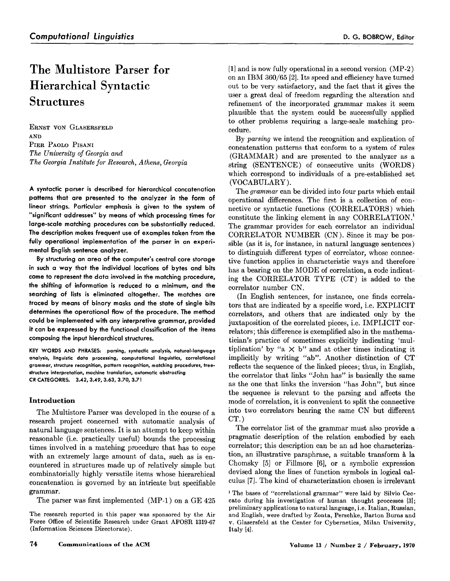# **The Muhistore Parser for Hierarchical Syntactic Structures**

ERNST VON GLASERSFELD AND PIER PAOLO PISANI *The University of Georgia and The Georgia Institute for Research, Athens, Georgia* 

**A syntactic parser is described for hierarchical concatenation patterns that are presented to the analyzer in the form of linear strings. Particular emphasis is given to the system of "significant addresses" by means of which processing times for large-scale matching procedures can be substantially reduced. The description makes frequent use of examples taken from the fully operational implementation of the parser in an experimental English sentence analyzer.** 

**By structuring an area of the computer's central core storage in such a way that the individual locations of bytes and bits come to represent the data involved in the matching procedure, the shifting of information is reduced to a minimum, and the searching of lists is eliminated altogether. The matches are traced by means of binary masks and the state of single bits determines the operational flow of the procedure. The method could be implemented with any interpretive grammar, provided it can be expressed by the functional classification of the items composing the input hierarchical structures.** 

KEY WORDS AND PHRASES: **parsing, syntactic analysis, natural-language analysis, linguistic data processing, computational linguistics, correlational grammar, structure recognition, pattern recognition, matching procedures, treestructure interpretation, machine translation, automatic abstracting**  *CR* CATEGORIES, 3.42, 3.49, 3.63, 3.70, 3.71

# **Introduction**

The Multistore Parser was developed in the course of a research project concerned with automatic analysis of natural language sentences. It is an attempt to keep within reasonable (i.e. practically useful) bounds the processing times involved in a matching procedure that has to cope with an extremely large amount of data, such as is encountered in structures made up of relatively simple but combinatorially highly versatile items whose hierarchical concatenation is governed by an intricate but specifiable grammar.

The parser was first implemented (MP-1) on a GE 425

The research reported in this paper was sponsored by the Air Force Office of Scientific Research under Grant AFOSR 1319-67 (Information Sciences Directorate).

[1] and is now fully operational in a second version (MP-2) on an IBM 360/65 [2]. Its speed and efficiency have turned out to be very satisfactory, and the fact that it gives the user a great deal of freedom regarding the alteration and refinement of the incorporated grammar makes it seem plausible that the system could be successfully applied to other problems requiring a large-scale matching procedure.

By *parsing* we intend the recognition and explication of concatenation patterns that conform to a system of rules (GRAMMAR) and are presented to the analyzer as a string (SENTENCE) of consecutive units (WORDS) which correspond to individuals of a pre-established set (VOCABULARY).

The *grammar* can be divided into four parts which entail operational differences. The first is a collection of connective or syntactic functions (CORRELATORS) which constitute the linking element in any CORRELATION. The grammar provides for each correlator an individual CORRELATOR NUMBER (CN). Since it may be possible (as it is, for instance, in natural language sentences) to distinguish different types of correlator, whose connective function applies in characteristic ways and therefore has a bearing on the MODE of correlation, a code indicating the CORRELATOR TYPE (CT) is added to the correlator number CN.

(In English sentences, for instance, one finds correlators that are indicated by a specific word, i.e. EXPLICIT correlators, and others that are indicated only by the juxtaposition of the correlated pieces, i.e. IMPLICIT correlators; this difference is exemplified also in the mathematician's practice of sometimes explicitly indicating 'multiplication' by "a  $\times$  b" and at other times indicating it implicitly by writing "ab". Another distinction of CT reflects the sequence of the linked pieces; thus, in English, the correlator that links "John has" is basically the same as the one that links the inversion "has John", but since the sequence is relevant to the parsing and affects the mode of correlation, it is convenient to split the connective into two correlators bearing the same CN but different CT.)

The correlator list of the grammar must also provide a pragmatic description of the relation embodied by each correlator; this description can be an ad hoc characterization, an illustrative paraphrase, a suitable transform à la Chomsky [5] or Fillmore [6], or a symbolic expression devised along the lines of function symbols in logical calculus [7]. The kind of characterization chosen is irrelevant

<sup>&</sup>lt;sup>1</sup> The bases of "correlational grammar" were laid by Silvio Ceccato during his investigation of human thought processes [3]; preliminary applications to natural language, i.e. Italian, Russian, and English, were drafted by Zonta, Perschke, Barton Burns and v. Glasersfeld at the Center for Cybernetics, Milan University, Italy [4].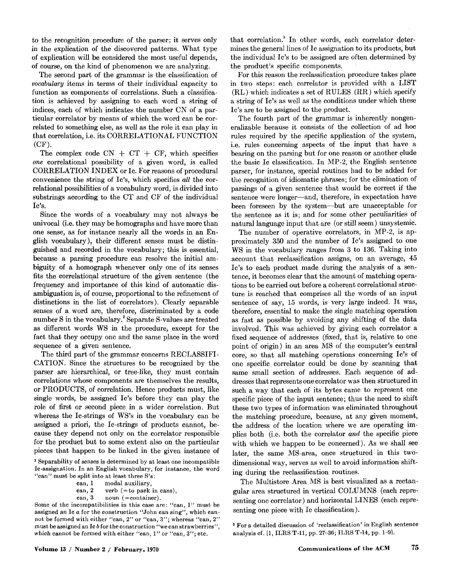to the recognition procedure of the parser; it serves only in the explication of the discovered patterns. What type of explication will be considered the most useful depends, of course, on the kind of phenomenon we are analyzing.

The second part of the grammar is the classification of *vocabulary* items in terms of their individual capacity to function as components of correlations. Such a classification is achieved by assigning to each word a string of indices, each of which indicates the number CN of a particular correlator by means of which the word can be correlated to something else, as well as the role it can play in that correlation, i.e. its CORRELATIONAL FUNCTION (CF).

The complex code  $CN + CT + CF$ , which specifies one correlational possibility of a given word, is called CORRELATION INDEX or Ic. For reasons of procedural convenience the string of Ic's, which specifies *all* the correlational possibilities of a vocabulary word, is divided into substrings according to the CT and CF of the individual Ic's.

Since the words of a vocabulary may not always be univocal (i.e. they may be homographs and have more than one sense, as for instance nearly all the words in an English vocabulary), their different senses must be distinguished and recorded in the vocabulary; this is essential, because a parsing procedure can resolve the initial ambiguity of a homograph whenever only one of its senses fits the correlational structure of the given sentence (the frequency and importance of this kind of automatic disambiguation is, of course, proportional to the refinement of distinctions in the list of correlators). Clearly separable senses of a word are, therefore, discriminated by a code number S in the vocabulary.<sup>2</sup> Separate S-values are treated as different words WS in the procedure, except for the fact that they occupy one and the same place in the word sequence of a given sentence.

The third part of the grammar concerns RECLASSIFI-CATION. Since the structures to be recognized by the parser are hierarchical, or tree-like, they must contain correlations whose components are themselves the results, or PRODUCTS, of correlation. Hence products must, like single words, be assigned Ic's before they can play the role of first or second piece in a wider correlation. But whereas the Ic-strings of WS's in the vocabulary can be assigned a priori, the Ic-strings of products cannot, because they depend not only on the correlator responsible for the product but to some extent also on the particular pieces that happen to be linked in the given instance of

2 Separability of senses is determined by at least one incompatible Ic-assignation. In an English vocabulary, for instance, the word "can" must be split into at least three S's:

- can, 1 modal auxiliary,
- can,  $2$  verb (=to pack in cans),
- can, 3 noun (=container).

Some of the incompatibilities in this case are: "can, 1" must be assigned an Ic a for the construction "John can sing", which cannot be formed with either "can, 2" or "can, 3"; whereas "can, 2" must be assigned an Icb for the construction "we can strawberries", which cannot be formed with either "can, 1" or *"can,* 3"; etc.

that correlation.<sup>3</sup> In other words, each correlator determines the general lines of Ic assignation to its products, but the individual Ic's to be assigned are often determined by the product's specific components.

For this reason the reclassification procedure takes place in two steps: each correlator is provided with a LIST (RL) which indicates a set of RULES (RR) which specify a string of Ic's as well as the conditions under which these Ic's are to be assigned to the product.

The fourth part of the grammar is inherently nongeneralizable because it consists of the collection of ad hoc rules required by the specific application of the system, i.e. rules concerning aspects of the input that have a bearing on the parsing but for one reason or another elude the basic Ic classification. In MP-2, the English sentence parser, for instance, special routines had to be added for the recognition of idiomatic phrases; for the elimination of parsings of a given sentence that would be correct if the sentence were longer--and, therefore, in expectation have been foreseen by the system--but are unacceptable for the sentence as it is; and for some other peculiarities of natural language input that are (or still seem) unsystemic.

The number of operative correlators, in MP-2, is approximately 350 and the number of Ic's assigned to one WS in the vocabulary ranges from 3 to 136. Taking into account that reclassification assigns, on an average, 45 Ic's to each product made during the analysis of a sentence, it becomes clear that the amount of matching operations to be carried out before a coherent correlational structure is reached that comprises all the words of an input sentence of say, 15 words, is very large indeed. It was, therefore, essential to make the single matching operation as fast as possible by avoiding any shifting of the data involved. This was achieved by giving each correlator a fixed sequence of addresses (fixed, that is, relative to one point of origin) in an area MS of the computer's central core, so that all matching operations concerning Ic's of one specific correlator could be done by scanning that same small section of addresses. Each sequence of addresses that represents one correlator was then structured in such a way that each of its bytes came to represent one specific piece of the input sentence; thus the need to shift these two types of information was eliminated throughout the matching procedure, because, at any given moment, the address of the location where we are operating implies both (i.e. both the corrclator *and* the specific piece with which we happen to be concerned). As we shall see later, the same MS-area, once structured in this twodimensional way, serves as well to avoid information shifting during the reclassification routines.

The Multistore Area MS is best visualized as a rectangular area structured in vertical COLUMNS (each representing one correlator) and horizontal LINES (each representing one piece with Ic classification).

3 For a detailed discussion of 'reclassification' in English sentence analysis cf. [1, ILRS T-11, pp. 27-36; ILRS T-14, pp. 1-9].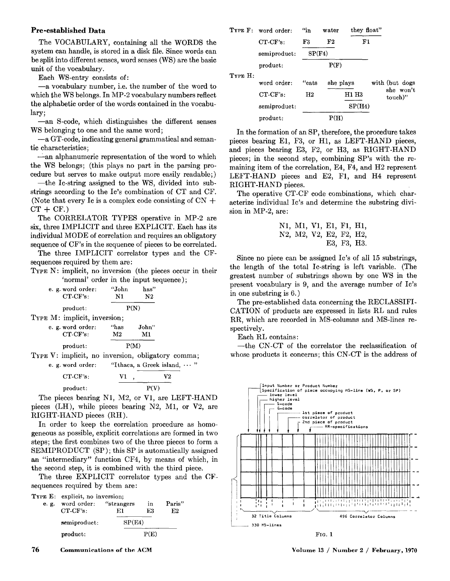## **Pre-established Data**

The VOCABULARY, containing all the WORDS the system can handle, is stored in a disk file. Since words can be split into different senses, word senses (WS) are the basic unit of the vocabulary.

Each WS-entry consists of:

-a vocabulary number, i.e. the number of the word to which the WS belongs. In MP-2 vocabulary numbers reflect the alphabetic order of the words contained in the vocabulary;

--an S-code, which distinguishes the different senses WS belonging to one and the same word;

--a GT-code, indicating general grammatical and semantic characteristics;

-- an alphanumeric representation of the word to which the WS belongs; (this plays no part in the parsing procedure but serves to make output more easily readable;)

--the Ic-string assigned to the WS, divided into substrings according to the Ic's combination of CT and CF. (Note that every Ic is a complex code consisting of  $CN +$  $CT + CF.$ 

The CORRELATOR TYPES operative in MP-2 are six, three IMPLICIT and three EXPLICIT. Each has its individual MODE of correlation and requires an obligatory sequence of CF's in the sequence of pieces to be correlated.

The three IMPLICIT correlator types and the CFsequences required by them are:

TYPE N: implicit, no inversion (the pieces occur in their 'normal' order in the input sequence);

| e. g. word order: | "John | has"     |  |  |
|-------------------|-------|----------|--|--|
| $CT-CF's:$        | N1    | $\bf N2$ |  |  |
| product:          | P(N)  |          |  |  |

TYPE **M:** implicit, inversion;

| e. g. word order: | "has | John" |  |  |
|-------------------|------|-------|--|--|
| $CT-CF's:$        | M2   | M1    |  |  |
| product:          |      | P(M)  |  |  |

TYPE V: implicit, no inversion, obligatory comma; e. g. word order: "Ithaca, a Greek island, ... "

| $CT-CF's:$ | V1 | V2   |  |  |
|------------|----|------|--|--|
| product:   |    | P(V) |  |  |

The pieces bearing N1, M2, or V1, are LEFT-HAND pieces (LH), while pieces bearing N2, M1, or V2, are RIGHT-HAND pieces (RH).

In order to keep the correlation procedure as homogeneous as possible, explicit correlations are formed in two steps; the first combines two of the three pieces to form a SEMIPRODUCT (SP); this SP is automatically assigned an "intermediary" function CF4, by means of which, in the second step, it is combined with the third piece.

The three EXPLICIT correlator types and the CFsequences required by them are:

TYPE E: explicit, no inversion;

| e. g. | word order:<br>$CT-CF's:$ | "strangers"<br>E1 | in<br>E3 | Paris"<br>F.2 |
|-------|---------------------------|-------------------|----------|---------------|
|       | semiproduct:              | SP(E4)            |          |               |
|       | product:                  |                   | P(E)     |               |

|         | TYPE F: word order: | $\mathbf{u}$ | water     | they float" |                      |                |  |
|---------|---------------------|--------------|-----------|-------------|----------------------|----------------|--|
|         | $CT-CF's:$          | F3           | F2        | F1          |                      |                |  |
|         | semiproduct:        | SP(F4)       |           |             |                      |                |  |
|         | product:            |              | P(F)      |             |                      |                |  |
| TYPE H: | word order:         | "cats"       | she plays |             |                      | with (but dogs |  |
|         | $CT-CF's:$          | $_{\rm H2}$  | H1 H3     |             | she won't<br>touch)" |                |  |
|         | semiproduct:        |              |           | SP(H4)      |                      |                |  |
|         | product:            |              |           |             |                      |                |  |

In the formation of an SP, therefore, the procedure takes pieces bearing El, F3, or H1, as LEFT-HAND pieces, and pieces bearing E3, F2, or H3, as RIGHT-HAND pieces; in the second step, combining SP's with the remaining item of the correlation, E4, F4, and H2 represent LEFT-HAND pieces and E2, F1, and H4 represent RIGHT-HAND pieces.

The operative CT-CF code combinations, which characterize individual Ic's and determine the substring division in MP-2, are:

| N1, M1, V1, E1, F1, H1, |  |             |
|-------------------------|--|-------------|
| N2, M2, V2, E2, F2, H2, |  |             |
|                         |  | E3, F3, H3. |

Since no piece can be assigned Ic's of all 15 substrings, the length of the total Ic-string is left variable. (The greatest number of substrings shown by one WS in the present vocabulary is 9, and the average number of Ic's in one substring is 6. )

The pre-established data concerning the RECLASSIFI-CATION of products are expressed in lists RL and rules RR, which are recorded in MS-columns and MS-lines respectively.

Each RL contains:

--the CN-CT of the correlator the reclassification of whose products it concerns; this CN-CT is the address of



FIG. 1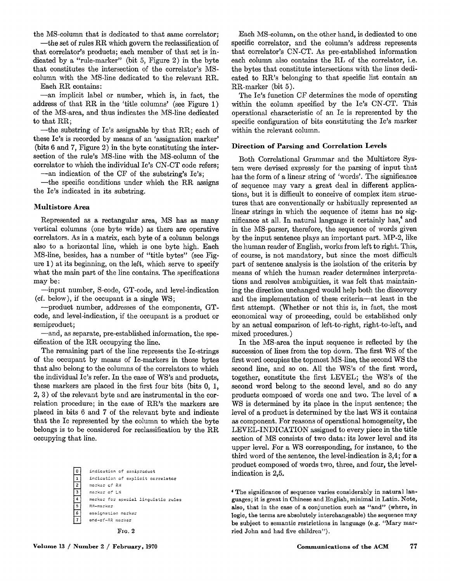the MS-column that is dedicated to that same correlator;

 $\text{-}$ the set of rules RR which govern the reclassification of that correlator's products; each member of that set is indicated by a "rule-marker" (bit 5, Figure 2) in the byte that constitutes the intersection of the correlator's MScolumn with the MS-line dedicated to the relevant RR. Each RR contains:

--an implicit label or number, which is, in fact, the address of that RR in the 'title columns' (see Figure 1) of the MS-area, and thus indicates the MS-line dedicated to that RR;

--the substring of Ie's assignable by that RR; each of these Ic's is recorded by means of an 'assignation marker' (bits 6 and 7, Figure 2) in the byte constituting the intersection of the rule's MS-line with the MS-column of the correlator to which the individual Ic's CN-CT code refers;

--an indication of the CF of the substring's Ic's;

 $-$ the specific conditions under which the RR assigns the Ic's indicated in its substring.

## **Multistore Area**

Represented as a rectangular area, MS has as many vertical columns (one byte wide) as there are operative correlators. As in a matrix, each byte of a column belongs also to a horizontal line, which is one byte high. Each MS-line, besides, has a number of "title bytes" (see Figure  $1$ ) at its beginning, on the left, which serve to specify what the main part of the line contains. The specifications may be:

--input number, S-code, GT-code, and level-indication (cf. below), if the occupant is a single WS;

--product number, addresses of the components, GTcode, and level-indication, if the occupant is a product or semiproduct;

--and, as separate, pre-established information, the specification of the RR occupying the line.

The remaining part of the line represents the Ic-strings of the occupant by means of Ic-markers in those bytes that also belong to the columns of the correlators to which the individual Ic's refer. In the case of WS's and products, these markers are placed in the first four bits (bits 0, 1, 2, 3) of the relevant byte and are instrumental in the correlation procedure; in the case of RR's the markers **are**  placed in bits 6 and 7 of the relevant byte and indicate that the Ie represented by the column to which the byte belongs is to be considered for reclassification by the RR occupying that line.



**FiG. 2** 

Each MS-column, on the other hand, is dedicated to one specific correlator, and the column's address represents that correlator's CN-CT. As pre-established information each column also contains the RL of the correlator, i.e. the bytes that constitute intersections with the lines dedicated to RR's belonging to that specific list contain an RR-marker (bit 5).

The Ic's function CF determines the mode of operating within the column specified by the Ic's CN-CT. This operational characteristic of an Ic is represented by the specific configuration of bits constituting the Ic's marker within the relevant column.

## **Direction of Parsing and Correlation Levels**

Both Correlational Grammar and the Multistore System were devised expressly for the parsing of input that has the form of a linear string of 'words'. The significance of sequence may vary a great deal in different applications, but it is difficult to conceive of complex item structures that are conventionally or habitually represented as linear strings in which the sequence of items has no significance at all. In natural language it certainly has,<sup>4</sup> and in the MS-parser, therefore, the sequence of words given by the input sentence plays an important part. MP-2, like the human reader of English, works from left to right. This, of course, is not mandatory, but since the most difficult part of sentence analysis is the isolation of the criteria by means of which the human reader determines interpretations and resolves ambiguities, it was felt that maintaining the direction unchanged would help both the discovery and the implementation of these criteria--at least in the first attempt. (Whether or not this is, in fact, the most economical way of proceeding, could be established only by an actual comparison of left-to-right, right-to-left, and mixed procedures. )

In the MS-area the input sequence is reflected by the succession of lines from the top down. The first WS of the first word occupies the topmost MS-line, the second WS the second line, and so on. All the WS's of the first word, together, constitute the first LEVEL; the WS's of the second word belong to the second level, and so do any products composed of words one and two. The level of a WS is determined by its place in the input sentence; the level of a product is determined by the last WS it contains as component. For reasons of operational homogeneity, the LEVEL-INDICATION assigned to every piece in the title section of MS consists of two data: its lower level and its upper level. For a WS corresponding, for instance, to the third word of the sentence, the level-indication is 3,4; for a product composed of words two, three, and four, the levelindication is 2,5.

<sup>4</sup> The significance of sequence varies considerably in natural languages; it is great in Chinese and English, minimal in Latin. Note, also, that in the case of a conjunction such as "and" (where, in Iogic, the **terms are** absolutely interchangeable) the sequence may **be** subject to semantic restrictions in language (e.g. "Mary married John and had five children").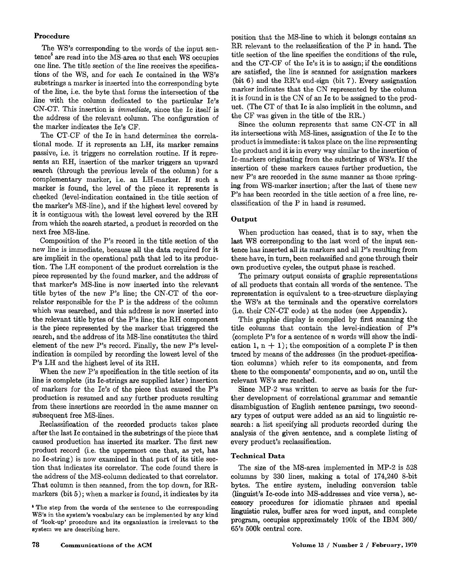# **Procedure**

The WS's corresponding to the words of the input sentence<sup>6</sup> are read into the MS-area so that each WS occupies one line. The title section of the line receives the specifications of the WS, and for each Ic contained in the WS's substrings a marker is inserted into the corresponding byte of the line, i.e. the byte that forms the intersection of the line with the column dedicated to the particular Ic's CN-CT. This insertion is *immediate,* since the Ic itself is the address of the relevant column. The configuration of the marker indicates the Ic's CF.

The CT-CF of the Ic in hand determines the correlational mode. If it represents an LH, its marker remains passive, i.e. it triggers no correlation routine. If it represents an RH, insertion of the marker triggers an upward search (through the previous levels of the column) for a complementary marker, i.e. an LH-marker. If such a marker is found, the level of the piece it represents is checked (level-indication contained in the title section of the marker's MS-line), and if the highest level covered by it is contiguous with the lowest level covered by the RH from which the search started, a product is recorded on the next free MS-line.

Composition of the P's record in the title section of the new line is immediate, because all the data required for it are implicit in the operational path that led to its production. The LH component of the product correlation is the piece represented by the found marker, and the address of that marker's MS-line is now inserted into the relevant title bytes of the new P's line; the CN-CT of the correlator responsible for the P is the address of the column which was searched, and this address is now inserted into the relevant title bytes of the P's line; the RH component is the piece represented by the marker that triggered the search, and the address of its MS-line constitutes the third element of the new P's record. Finally, the new P's levelindication is compiled by recording the lowest level of the P's LH and the highest level of its RH.

When the new P's specification in the title section of its line is complete (its Ic-strings are supplied later) insertion of markers for the Ic's of the piece that caused the P's production is resumed and any further products resulting from these insertions are recorded in the same manner on subsequent free MS-lines.

Reclassification of the recorded products takes place after the last Ie contained in the substrrings of the piece that caused production has inserted its marker. The first new product record (i.e. the uppermost one that, as yet, has no Ic-string) is now examined in that part of its title section that indicates its correlator. The code found there is the address of the MS-column dedicated to that eorrelator. That column is then scanned, from the top down, for RRmarkers (bit 5); when a marker is found, it indicates by its position that the MS-line to which it belongs contains an RR relevant to the reclassification of the P in hand. The title section of the line specifies the conditions of the rule, and the CT-CF of the Ic's it is to assign; if the conditions are satisfied, the line is scanned for assignation markers (bit 6) and the RR's end-sign (bit 7). Every assignation marker indicates that the CN represented by the column it is found in is the CN of an Ic to be assigned to the product. (The CT of that Ic is also implicit in the column, and the CF was given in the title of the RR.)

Since the column represents that same CN-CT in all its intersections with MS-lines, assignation of the Ic to the product is immediate: it takes place on the line representing the product and it is in every way similar to the insertion of Ic-markers originating from the substrings of WS's. If the insertion of these markers causes further production, the new P's are recorded in the same manner as those springing from WS-marker insertion; after the last of these new P's has been recorded in the title section of a free line, reclassification of the P in hand is resumed.

# **Output**

When production has ceased, that is to say, when the last WS corresponding to the last word of the input sentence has inserted all its markers and all P's resulting from these have, in turn, been reclassified and gone through their own productive cycles, the output phase is reached.

The primary output consists of graphic representations of all products that contain all words of the sentence. The representation is equivalent to a tree-structure displaying the WS's at the terminals and the operative correlators (i.e. their CN-CT code) at the nodes (see Appendix).

This graphic display is compiled by first scanning the title columns that contain the level-indication of P's (complete P's for a sentence of n words will show the indication 1,  $n + 1$ ; the composition of a complete P is then traced by means of the addresses (in the product-specification columns) which refer to its components, and from these to the components' components, and so on, until the relevant WS's are reached.

Since MP-2 was written to serve as basis for the further development of correlational grammar and semantic disambiguation of English sentence parsings, two secondary types of output were added as an aid to linguistic research: a list specifying all products recorded during the analysis of the given sentence, and a complete listing of every product's reclassification.

# **Technical Data**

The size of the MS-area implemented in MP-2 is 528 colunms by 330 lines, making a total of 174,240 8-bit bytes. The entire system, including conversion table (linguist's Ie-code into MS-addresses and vice versa), accessory procedures for idiomatic phrases and special linguistic rules, buffer axea for word input, and complete program, occupies approximately 190k of the IBM 360/ 65's 500k central core.

s The step **from the words of** the sentence to the corresponding WS's in the system's vocabulary can be implemented by any kind **of** 'look-up' procedure and its organization is irrelevant to **the**  system we are describing here.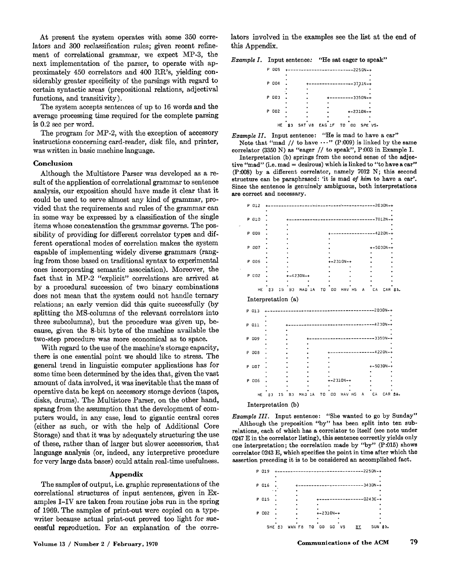**At present the system operates with some 350 correlators and 300 reclassification rules; given recent refinement of correlational grammar, we expect MP-3, the next implementation of the parser, to operate with approximately 450 correlators and 400 RR's, yielding considerably greater specificity of the parsings with regard to certain syntactic areas (prepositional relations, adjectival functions, and transitivity).** 

**The system accepts sentences of up to 16 words and the average processing time required for the complete parsing is 0.2 see per word.** 

**The program for MP-2, with the exception of accessory instructions concerning card-reader, disk file, and printer, was written in basic machine language.** 

#### **Conclusion**

**Although the Multistore Parser was developed as a result of the application of correlational grammar to sentence analysis, our exposition should have made it clear that it could be used to serve almost any kind of grammar, provided that the requirements and rules of the grammar can in some way be expressed by a classification of the single items whose concatenation the grammar governs. The possibility of providing for different correlator types and different operational modes of correlation makes the system capable of implementing widely diverse grammars (ranging from those based on traditional syntax to experimental ones incorporating semantic association). Moreover, the**  fact that in MP-2 "explicit" correlations are arrived at **by a procedural succession of two binary combinations does not mean that the system could not handle ternary relations; an early version did this quite successfully (by splitting the MS-columns of the relevant correlators into three subcolumns), but the procedure was given up, because, given the 8-bit byte of the machine available the two-step procedure was more economical as to space.** 

**With regard to the use of the machine's storage capacity, there is one essential point we should like to stress. The general trend in linguistic computer applications has for some time been determined by the idea that, given the vast amount of data involved, it was inevitable that the mass of operative data be kept on accessory storage devices (tapes, disks, drums). The Multistore Parser, on the other hand, sprang from the assumption that the development of computers would, in any case, lead to gigantic central cores (either as such, or with the help of Additional Core Storage) and that it was by adequately structuring the use of these, rather than of larger but slower accessories, that language analysis (or, indeed, any interpretive procedure**  for very large data bases) could attain real-time usefulness.

#### **Appendix**

**The samples of output, i.e. graphic representations of the correlational structures of input sentences, given in Examples I-IV are taken from routine jobs run in the spring of 1969. The samples of print-out were copied on a typewriter because actual print-out proved too light for successful reproduction. For an explanation of the corre-** **lators involved in the examples see the list at the end of this Appendix.** 

*Example I.* **Input sentence: "He sat eager to speak"** 



*Example II.* **Input sentence:** *"He* **is mad to have a car"**  Note that "mad  $//$  to have  $\cdots$ " (P:009) is linked by the same

**correlator (3350 N) as "eager // to speak", P:003 in Example I.** 

**Interpretation (b) springs from the second sense of the adjective "mad" (i.e. mad = desirous) which is linked to "to have a ear" (P:008) by a different correlator, namely 7012 N; this second structure can be paraphrased: 'it is mad** *of him* **to have a car'. Since the sentence is genuinely ambiguous, both interpretations**  are correct and necessary.



*Example III.* **Input sentence: "She wanted to go by Sunday" Although the preposition "by" has been split into ten subrelations, each of which has a eorrelator to itself (see note under 0247 E in the correlator listing), this sentence correctly yields only one interpretation; the correlation made by "by" (P:015) shows eorrelator 0243 E, which specifies the point in time after which the assertion preceding it is to be considered an accomplished fact.** 

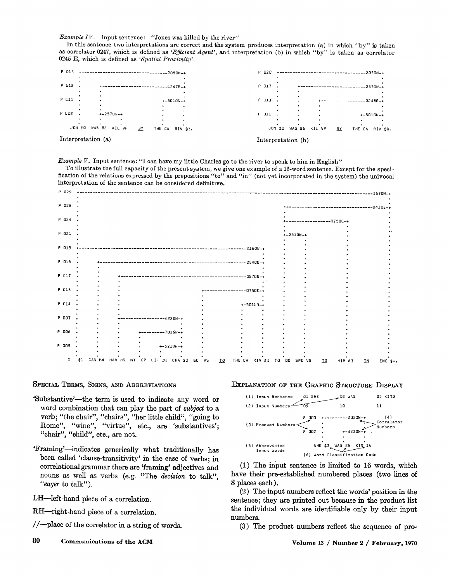*Example IV.* Input sentence: "Jones was killed by the river"

In this sentence two interpretations **are correct and the system produces** interpretation (a) in which *"by"* is taken **as correlator 0247, which is defined as** *'E~cient Agent',* and interpretation (b) in which "by" is taken **as eorrelator**  0245 E, **which is defined as** *'Spatial Proximity'.* 

| P 018        |        |                    | +---------------------------------2050N-+ | P 020        |        |                    |    | $-2050N - +$   |
|--------------|--------|--------------------|-------------------------------------------|--------------|--------|--------------------|----|----------------|
|              |        |                    |                                           |              |        |                    |    |                |
| <b>P 015</b> |        |                    | $------------L247E-+$                     | P 017        |        |                    |    | $---2570N-+$   |
|              |        |                    |                                           |              |        |                    |    |                |
| P C11 .      |        |                    | $+-5010N-+$                               | <b>P 013</b> |        |                    |    | $- -0245E - +$ |
|              |        |                    |                                           |              |        |                    |    |                |
| P CC2 .      |        | $+-2570N-+$        |                                           | P Oll        |        |                    |    | $+-5010N-+$    |
|              |        |                    |                                           |              |        |                    |    |                |
|              | JON 30 | WAS B6<br>KIL VP   | ΒY<br>THE CA<br>RIV Sh.                   |              | JON 20 | WAS B6 KIL VP      | BY | THE CA RIV SA. |
|              |        | Interpretation (a) |                                           |              |        | Interpretation (b) |    |                |

*Example V.* Input sentence: *"I* **can have** my little Charles go to the river to speak to him in English"

To **illustrate the** full capacity of **the present system, we give** one example of a 16-word sentence. Except **for the speci**fication of the relations expressed by the prepositions *"to"* and *"in"* (not yet incorporated in **the system) the univocal interpretation** of the sentence **can be considered definitive.** 



#### **SPECIAL TERMS, SIGNS, AND ABBREVIATIONS**

- **'Substantive'--the term is used to indicate any word or word combination that can play the part of** *subject* **to a verb; "the chair", "chairs", "her little child", "going to Rome",** *"wine",* **"virtue", etc., are 'substantives'; "chair", "child", etc., are not.**
- **'Framing'--indicates generically what traditionally has been called 'clause-transitivity' in the ease of verbs; in correlational grammar there are 'framing' adjectives and**  nouns as well as verbs (e.g. "The *decision* to talk", *"eager* **to talk").**
- LH-left-hand piece of a correlation.
- **RH--right-hand piece of a correlation.**
- //--place of the correlator in a string of words.
- **80 Communications of the ACM**

#### **EXPLANATION OF THE GRAPHIC STRUCTURE DISPLAY**



**(1) The input sentence is limited** to 16 **words, which have their pre-established numbered places (two lines of 8 places each).** 

**(2) The input numbers reflect the words' position in the sentence; they are printed out because in the product list the individual words are identifiable only by their input numbers.** 

**(3) The product numbers reflect the sequence of pro-**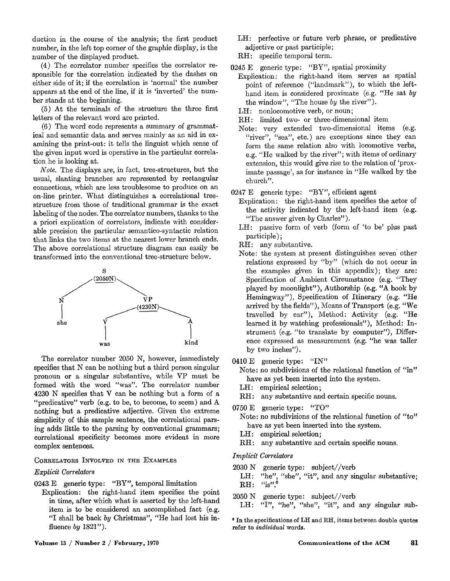duction in the course of the analysis; the first product number, in the left top corner of the graphic display, is the number of the displayed product.

(4) The correlator number specifies the correlator responsible for the correlation indicated by the dashes on either side of it; if the correlation is 'normal' the number appears at the end of the line, if it is 'inverted' the number stands at the beginning.

(5) At the terminals of the structure the three first letters of the relevant word are printed.

(6) The word code represents a summary of grammatical and semantic data and serves mainly as an aid in examining the print-out: it tells the linguist which sense of the given input word is operative in the particular correlation he is looking at.

*Note.* The displays are, in fact, tree-structures, but the usual, slanting branches are represented by rectangular connections, which are less troublesome to produce on an on-line printer. What distinguishes a correlational treestructure from those of traditional grammar is the exact labeling of the nodes. The correlator numbers, thanks to the a priori explication of eorrelators, indicate with considerable precision the particular semantico-syntactic relation that links the two items at the nearest lower branch ends. The above correlational structure diagram can easily be transformed into the conventional tree-structure below.



The correlator number 2050 N, however, immediately specifies that N can be nothing but a third person singular pronoun or a singular substantive, while VP must be formed with the word "was". The correlator number 4230 N specifies that V can be nothing but a form of a "predicative" verb (e.g. to be, to become, to seem) and A nothing but a predicative adjective. Given the extreme simplicity of this sample sentence, the correlational parsing adds little to the parsing by conventional grammars; correlational specificity becomes more evident in more complex sentences.

## **CORRELATORS INVOLVED IN THE EXAMPLES**

# *Explicit Correlators*

0243 E generic type: "BY", temporal limitation

Explication: the right-hand item specifies the point in time, after which what is asserted by the left-hand item is to be considered an accomplished fact (e.g. *"I* shall be back *by* Christmas", *"He* had lost his influence *by* 1821").

LH: perfeetive or future verb phrase, or predicative adjective or past participle;

RH: specific temporal term.

- 0245 E generic type: *"BY",* spatial proximity
- Explication: the right-hand item serves as spatial point of reference ("landmark"), to which the lefthand item is considered proximate (e.g. *"He* sat *by*  the window", "The house *by* the river").
- LH: nonlocomotive verb, or noun;
- RH: limited two- or three-dimensional item
- Note: very extended two-dimensional items (e.g. "river", "sea", etc.) are exceptions since they can form the same relation also with locomotive verbs, e.g. *"He* walked by the river"; with items of ordinary extension, this would give rise to the relation of 'proximate passage', as for instance in *"He* walked by the church".

0247 E generic type: "BY", efficient agent

- Explication: the right-hand item specifies the actor of the activity indicated by the left-hand item (e.g. "The answer given *by* Charles").
- LH: passive form of verb (form of 'to be' plus past participle);
- RH: any substantive.
- Note: the system at present distinguishes seven other relations expressed by *"by"* (which do not occur in the examples given in this appendix); they are: Specification of Ambient Circumstance (e.g. "They played by moonlight"), Authorship (e.g. "A book by Hemingway"), Specification of Itinerary (e.g. *"He*  arrived by the fields"), Means of Transport (e.g. "We travelled by car"), Method: Activity (e.g. *"He*  learned it by watching professionals"), Method: Instrument (e.g. *"to* translate by computer"), Difference expressed as measurement (e.g. *"he* was taller by two inches").
- 0410 E generic type: *"IN"*

Note: no subdivisions of the relational function of *"in"*  have as yet been inserted into the system.

- LH: empirical selection;
- RH: any substantive and certain specific nouns.
- 0750 E generic type: "TO"
	- Note: no subdivisions of the relational function of *"to"*  have as yet been inserted into the system.
	- LH: empirical selection:
	- RH: any substantive and certain specific nouns.

#### *Implicit Correlators*

- 2030 N generic type: subject//verb
- LH: "he", "she", "it", and any singular substantive; RH:  $"is"$ .

2050 N generic type: subject//verb

LH: "I", "he", "she", "it", and any singular sub-

<sup>6</sup> In the specifications of LH and RH, items between double quotes refer to *individual* words.

**Volume 13** / Number 2 / February, 1970 **Communications of the ACM** 81